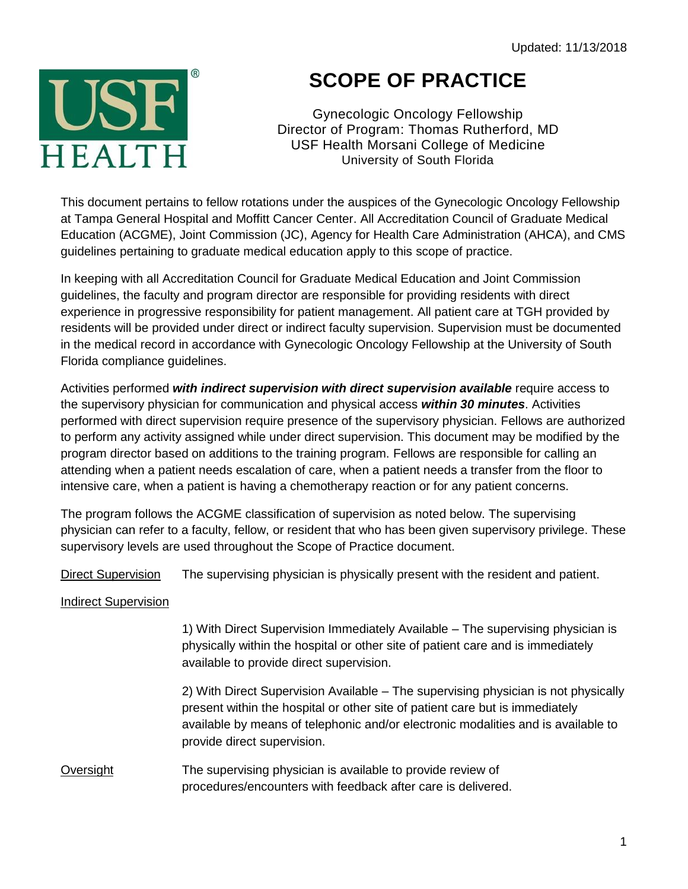

## **SCOPE OF PRACTICE**

Gynecologic Oncology Fellowship Director of Program: Thomas Rutherford, MD USF Health Morsani College of Medicine University of South Florida

This document pertains to fellow rotations under the auspices of the Gynecologic Oncology Fellowship at Tampa General Hospital and Moffitt Cancer Center. All Accreditation Council of Graduate Medical Education (ACGME), Joint Commission (JC), Agency for Health Care Administration (AHCA), and CMS guidelines pertaining to graduate medical education apply to this scope of practice.

In keeping with all Accreditation Council for Graduate Medical Education and Joint Commission guidelines, the faculty and program director are responsible for providing residents with direct experience in progressive responsibility for patient management. All patient care at TGH provided by residents will be provided under direct or indirect faculty supervision. Supervision must be documented in the medical record in accordance with Gynecologic Oncology Fellowship at the University of South Florida compliance guidelines.

Activities performed *with indirect supervision with direct supervision available* require access to the supervisory physician for communication and physical access *within 30 minutes*. Activities performed with direct supervision require presence of the supervisory physician. Fellows are authorized to perform any activity assigned while under direct supervision. This document may be modified by the program director based on additions to the training program. Fellows are responsible for calling an attending when a patient needs escalation of care, when a patient needs a transfer from the floor to intensive care, when a patient is having a chemotherapy reaction or for any patient concerns.

The program follows the ACGME classification of supervision as noted below. The supervising physician can refer to a faculty, fellow, or resident that who has been given supervisory privilege. These supervisory levels are used throughout the Scope of Practice document.

Direct Supervision The supervising physician is physically present with the resident and patient.

## Indirect Supervision

1) With Direct Supervision Immediately Available – The supervising physician is physically within the hospital or other site of patient care and is immediately available to provide direct supervision.

2) With Direct Supervision Available – The supervising physician is not physically present within the hospital or other site of patient care but is immediately available by means of telephonic and/or electronic modalities and is available to provide direct supervision.

Oversight The supervising physician is available to provide review of procedures/encounters with feedback after care is delivered.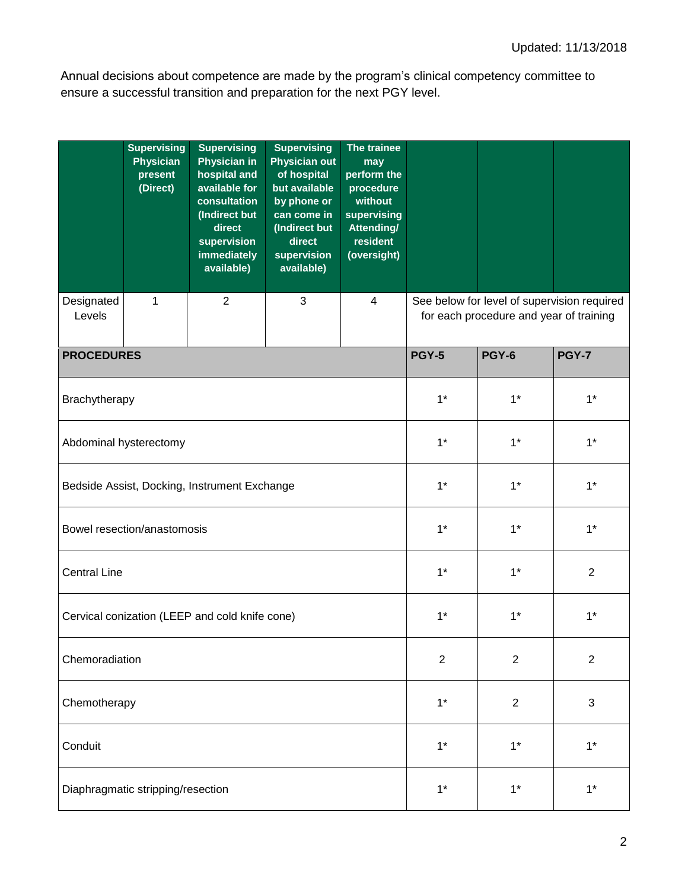Annual decisions about competence are made by the program's clinical competency committee to ensure a successful transition and preparation for the next PGY level.

|                                                | <b>Supervising</b><br><b>Physician</b><br>present<br>(Direct) | <b>Supervising</b><br><b>Physician in</b><br>hospital and<br>available for<br>consultation<br>(Indirect but<br>direct<br>supervision<br>immediately<br>available) | <b>Supervising</b><br><b>Physician out</b><br>of hospital<br>but available<br>by phone or<br>can come in<br>(Indirect but<br>direct<br>supervision<br>available) | The trainee<br>may<br>perform the<br>procedure<br>without<br>supervising<br><b>Attending/</b><br>resident<br>(oversight) |                                                                                        |                |                |  |  |
|------------------------------------------------|---------------------------------------------------------------|-------------------------------------------------------------------------------------------------------------------------------------------------------------------|------------------------------------------------------------------------------------------------------------------------------------------------------------------|--------------------------------------------------------------------------------------------------------------------------|----------------------------------------------------------------------------------------|----------------|----------------|--|--|
| Designated<br>Levels                           | 1                                                             | $\overline{2}$                                                                                                                                                    | 3                                                                                                                                                                | $\overline{4}$                                                                                                           | See below for level of supervision required<br>for each procedure and year of training |                |                |  |  |
| <b>PROCEDURES</b>                              |                                                               |                                                                                                                                                                   |                                                                                                                                                                  |                                                                                                                          | <b>PGY-5</b>                                                                           | <b>PGY-6</b>   | <b>PGY-7</b>   |  |  |
| Brachytherapy                                  |                                                               |                                                                                                                                                                   | $1*$                                                                                                                                                             | $1^*$                                                                                                                    | $1^*$                                                                                  |                |                |  |  |
| Abdominal hysterectomy                         |                                                               |                                                                                                                                                                   |                                                                                                                                                                  |                                                                                                                          | $1*$                                                                                   | $1^*$          | $1^*$          |  |  |
| Bedside Assist, Docking, Instrument Exchange   |                                                               |                                                                                                                                                                   |                                                                                                                                                                  |                                                                                                                          | $1*$                                                                                   | $1^*$          | $1^*$          |  |  |
|                                                | Bowel resection/anastomosis                                   |                                                                                                                                                                   | $1*$                                                                                                                                                             | $1^*$                                                                                                                    | $1*$                                                                                   |                |                |  |  |
| <b>Central Line</b>                            |                                                               |                                                                                                                                                                   | $1*$                                                                                                                                                             | $1*$                                                                                                                     | $\overline{2}$                                                                         |                |                |  |  |
| Cervical conization (LEEP and cold knife cone) |                                                               |                                                                                                                                                                   |                                                                                                                                                                  |                                                                                                                          | $1*$                                                                                   | $1^*$          | $1^*$          |  |  |
| Chemoradiation                                 |                                                               |                                                                                                                                                                   |                                                                                                                                                                  |                                                                                                                          | $\boldsymbol{2}$                                                                       | $\overline{2}$ | $\overline{2}$ |  |  |
| Chemotherapy                                   |                                                               |                                                                                                                                                                   |                                                                                                                                                                  |                                                                                                                          | $1*$                                                                                   | $\sqrt{2}$     | 3              |  |  |
| Conduit                                        |                                                               |                                                                                                                                                                   | $1*$                                                                                                                                                             | $1*$                                                                                                                     | $1*$                                                                                   |                |                |  |  |
|                                                | Diaphragmatic stripping/resection                             |                                                                                                                                                                   | $1*$                                                                                                                                                             | $1*$                                                                                                                     | $1^*$                                                                                  |                |                |  |  |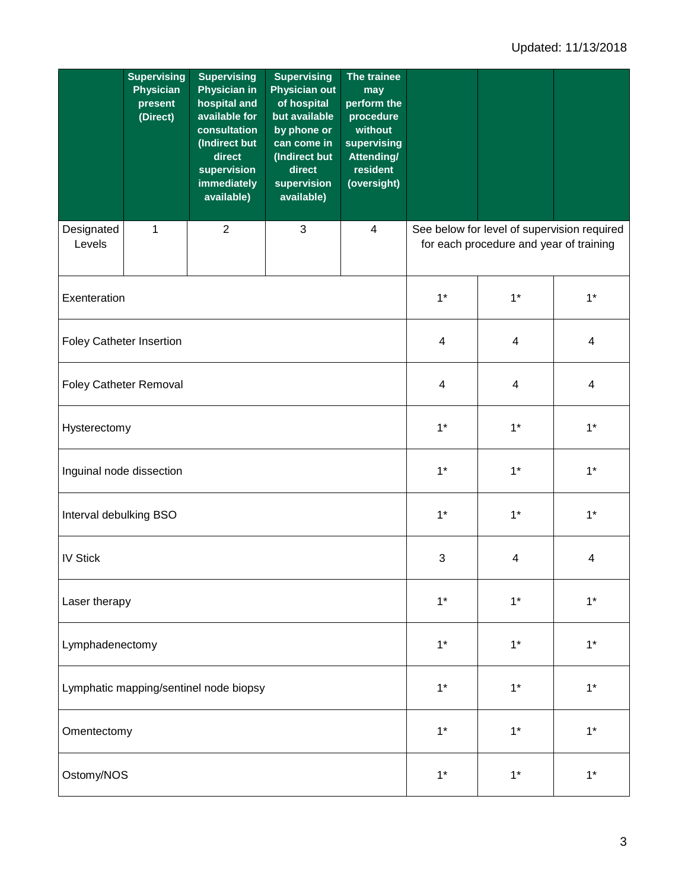|                                        | <b>Supervising</b><br><b>Physician</b><br>present<br>(Direct) | <b>Supervising</b><br><b>Physician in</b><br>hospital and<br>available for<br>consultation<br>(Indirect but<br>direct<br>supervision<br>immediately<br>available) | <b>Supervising</b><br><b>Physician out</b><br>of hospital<br>but available<br>by phone or<br>can come in<br>(Indirect but<br>direct<br>supervision<br>available) | The trainee<br>may<br>perform the<br>procedure<br>without<br>supervising<br>Attending/<br>resident<br>(oversight) |                                                                                        |       |       |  |
|----------------------------------------|---------------------------------------------------------------|-------------------------------------------------------------------------------------------------------------------------------------------------------------------|------------------------------------------------------------------------------------------------------------------------------------------------------------------|-------------------------------------------------------------------------------------------------------------------|----------------------------------------------------------------------------------------|-------|-------|--|
| Designated<br>Levels                   | 1                                                             | $\overline{2}$                                                                                                                                                    | $\sqrt{3}$                                                                                                                                                       | $\overline{\mathcal{A}}$                                                                                          | See below for level of supervision required<br>for each procedure and year of training |       |       |  |
| Exenteration                           |                                                               |                                                                                                                                                                   |                                                                                                                                                                  | $1*$                                                                                                              | $1^*$                                                                                  | $1^*$ |       |  |
| <b>Foley Catheter Insertion</b>        |                                                               |                                                                                                                                                                   | $\overline{\mathbf{4}}$                                                                                                                                          | $\overline{\mathbf{4}}$                                                                                           | 4                                                                                      |       |       |  |
| <b>Foley Catheter Removal</b>          |                                                               |                                                                                                                                                                   |                                                                                                                                                                  |                                                                                                                   | $\overline{\mathbf{4}}$                                                                | 4     | 4     |  |
| Hysterectomy                           |                                                               |                                                                                                                                                                   | $1*$                                                                                                                                                             | $1^*$                                                                                                             | $1^*$                                                                                  |       |       |  |
| Inguinal node dissection               |                                                               |                                                                                                                                                                   | $1*$                                                                                                                                                             | $1^*$                                                                                                             | $1^*$                                                                                  |       |       |  |
| Interval debulking BSO                 |                                                               |                                                                                                                                                                   | $1*$                                                                                                                                                             | $1^*$                                                                                                             | $1^*$                                                                                  |       |       |  |
| <b>IV Stick</b>                        |                                                               |                                                                                                                                                                   | $\ensuremath{\mathsf{3}}$                                                                                                                                        | $\overline{\mathbf{4}}$                                                                                           | 4                                                                                      |       |       |  |
| Laser therapy                          |                                                               |                                                                                                                                                                   |                                                                                                                                                                  |                                                                                                                   | $1*$                                                                                   | $1^*$ | $1^*$ |  |
| Lymphadenectomy                        |                                                               |                                                                                                                                                                   |                                                                                                                                                                  |                                                                                                                   | $1*$                                                                                   | $1*$  | $1*$  |  |
| Lymphatic mapping/sentinel node biopsy |                                                               |                                                                                                                                                                   |                                                                                                                                                                  |                                                                                                                   | $1*$                                                                                   | $1^*$ | $1^*$ |  |
| Omentectomy                            |                                                               |                                                                                                                                                                   |                                                                                                                                                                  |                                                                                                                   | $1*$                                                                                   | $1*$  | $1^*$ |  |
| Ostomy/NOS                             |                                                               |                                                                                                                                                                   |                                                                                                                                                                  |                                                                                                                   | $1*$                                                                                   | $1^*$ | $1*$  |  |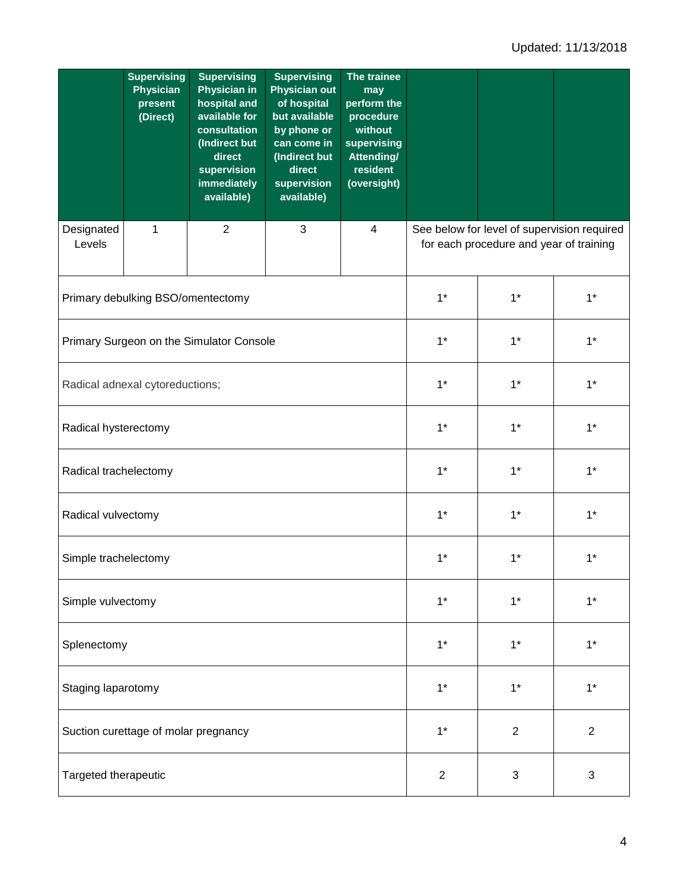|                                          | <b>Supervising</b><br><b>Physician</b><br>present<br>(Direct) | <b>Supervising</b><br><b>Physician in</b><br>hospital and<br>available for<br>consultation<br>(Indirect but<br>direct<br>supervision<br>immediately<br>available) | <b>Supervising</b><br><b>Physician out</b><br>of hospital<br>but available<br>by phone or<br>can come in<br>(Indirect but<br>direct<br>supervision<br>available) | The trainee<br>may<br>perform the<br>procedure<br>without<br>supervising<br>Attending/<br>resident<br>(oversight) |                                                                                        |                |                |  |
|------------------------------------------|---------------------------------------------------------------|-------------------------------------------------------------------------------------------------------------------------------------------------------------------|------------------------------------------------------------------------------------------------------------------------------------------------------------------|-------------------------------------------------------------------------------------------------------------------|----------------------------------------------------------------------------------------|----------------|----------------|--|
| Designated<br>Levels                     | 1                                                             | $\overline{2}$                                                                                                                                                    | 3                                                                                                                                                                | 4                                                                                                                 | See below for level of supervision required<br>for each procedure and year of training |                |                |  |
|                                          | Primary debulking BSO/omentectomy                             |                                                                                                                                                                   | $1*$                                                                                                                                                             | $1^*$                                                                                                             | $1*$                                                                                   |                |                |  |
| Primary Surgeon on the Simulator Console |                                                               |                                                                                                                                                                   |                                                                                                                                                                  |                                                                                                                   | $1*$                                                                                   | $1^*$          | $1*$           |  |
| Radical adnexal cytoreductions;          |                                                               |                                                                                                                                                                   |                                                                                                                                                                  |                                                                                                                   | $1*$                                                                                   | $1^*$          | $1^*$          |  |
| Radical hysterectomy                     |                                                               |                                                                                                                                                                   |                                                                                                                                                                  |                                                                                                                   | $1*$                                                                                   | $1^*$          | $1*$           |  |
| Radical trachelectomy                    |                                                               |                                                                                                                                                                   |                                                                                                                                                                  |                                                                                                                   | $1*$                                                                                   | $1^*$          | $1^*$          |  |
| Radical vulvectomy                       |                                                               |                                                                                                                                                                   | $1*$                                                                                                                                                             | $1^*$                                                                                                             | $1*$                                                                                   |                |                |  |
| Simple trachelectomy                     |                                                               |                                                                                                                                                                   |                                                                                                                                                                  |                                                                                                                   | $1*$                                                                                   | $1*$           | $1*$           |  |
| Simple vulvectomy                        |                                                               |                                                                                                                                                                   |                                                                                                                                                                  |                                                                                                                   | $1*$                                                                                   | $1*$           | $1*$           |  |
| Splenectomy                              |                                                               |                                                                                                                                                                   |                                                                                                                                                                  |                                                                                                                   | $1*$                                                                                   | $1*$           | $1*$           |  |
| Staging laparotomy                       |                                                               |                                                                                                                                                                   |                                                                                                                                                                  |                                                                                                                   | $1*$                                                                                   | $1*$           | $1*$           |  |
| Suction curettage of molar pregnancy     |                                                               |                                                                                                                                                                   |                                                                                                                                                                  |                                                                                                                   | $1*$                                                                                   | $\overline{2}$ | $\overline{2}$ |  |
| Targeted therapeutic                     |                                                               |                                                                                                                                                                   |                                                                                                                                                                  |                                                                                                                   | $\overline{2}$                                                                         | 3              | 3              |  |